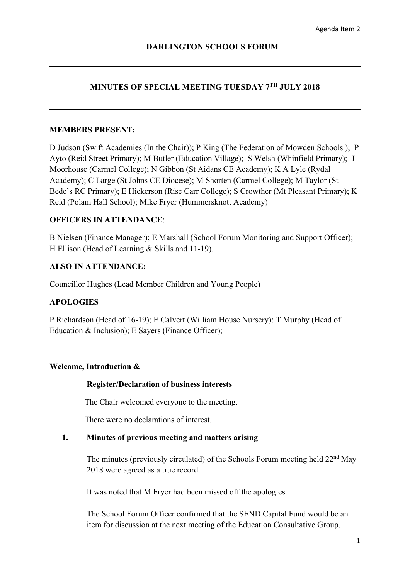# **MINUTES OF SPECIAL MEETING TUESDAY 7TH JULY 2018**

## **MEMBERS PRESENT:**

D Judson (Swift Academies (In the Chair)); P King (The Federation of Mowden Schools ); P Ayto (Reid Street Primary); M Butler (Education Village); S Welsh (Whinfield Primary); J Moorhouse (Carmel College); N Gibbon (St Aidans CE Academy); K A Lyle (Rydal Academy); C Large (St Johns CE Diocese); M Shorten (Carmel College); M Taylor (St Bede's RC Primary); E Hickerson (Rise Carr College); S Crowther (Mt Pleasant Primary); K Reid (Polam Hall School); Mike Fryer (Hummersknott Academy)

# **OFFICERS IN ATTENDANCE**:

B Nielsen (Finance Manager); E Marshall (School Forum Monitoring and Support Officer); H Ellison (Head of Learning & Skills and 11-19).

### **ALSO IN ATTENDANCE:**

Councillor Hughes (Lead Member Children and Young People)

# **APOLOGIES**

P Richardson (Head of 16-19); E Calvert (William House Nursery); T Murphy (Head of Education & Inclusion); E Sayers (Finance Officer);

### **Welcome, Introduction &**

### **Register/Declaration of business interests**

The Chair welcomed everyone to the meeting.

There were no declarations of interest.

#### **1. Minutes of previous meeting and matters arising**

The minutes (previously circulated) of the Schools Forum meeting held 22<sup>nd</sup> May 2018 were agreed as a true record.

It was noted that M Fryer had been missed off the apologies.

The School Forum Officer confirmed that the SEND Capital Fund would be an item for discussion at the next meeting of the Education Consultative Group.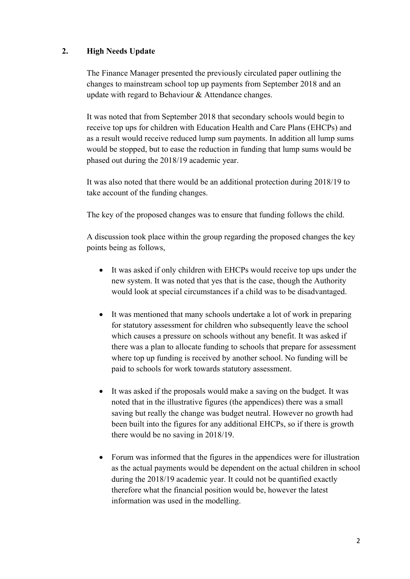# **2. High Needs Update**

The Finance Manager presented the previously circulated paper outlining the changes to mainstream school top up payments from September 2018 and an update with regard to Behaviour & Attendance changes.

It was noted that from September 2018 that secondary schools would begin to receive top ups for children with Education Health and Care Plans (EHCPs) and as a result would receive reduced lump sum payments. In addition all lump sums would be stopped, but to ease the reduction in funding that lump sums would be phased out during the 2018/19 academic year.

It was also noted that there would be an additional protection during 2018/19 to take account of the funding changes.

The key of the proposed changes was to ensure that funding follows the child.

A discussion took place within the group regarding the proposed changes the key points being as follows,

- It was asked if only children with EHCPs would receive top ups under the new system. It was noted that yes that is the case, though the Authority would look at special circumstances if a child was to be disadvantaged.
- It was mentioned that many schools undertake a lot of work in preparing for statutory assessment for children who subsequently leave the school which causes a pressure on schools without any benefit. It was asked if there was a plan to allocate funding to schools that prepare for assessment where top up funding is received by another school. No funding will be paid to schools for work towards statutory assessment.
- It was asked if the proposals would make a saving on the budget. It was noted that in the illustrative figures (the appendices) there was a small saving but really the change was budget neutral. However no growth had been built into the figures for any additional EHCPs, so if there is growth there would be no saving in 2018/19.
- Forum was informed that the figures in the appendices were for illustration as the actual payments would be dependent on the actual children in school during the 2018/19 academic year. It could not be quantified exactly therefore what the financial position would be, however the latest information was used in the modelling.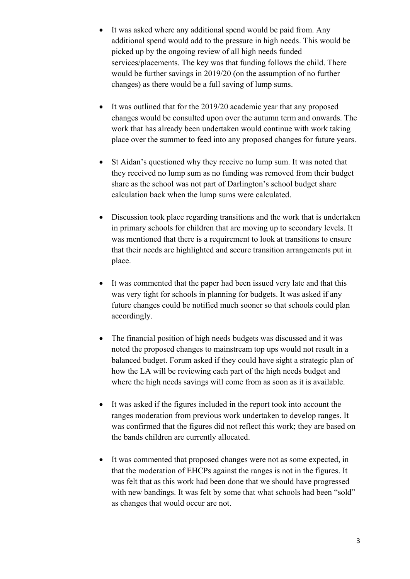- It was asked where any additional spend would be paid from. Any additional spend would add to the pressure in high needs. This would be picked up by the ongoing review of all high needs funded services/placements. The key was that funding follows the child. There would be further savings in 2019/20 (on the assumption of no further changes) as there would be a full saving of lump sums.
- It was outlined that for the 2019/20 academic year that any proposed changes would be consulted upon over the autumn term and onwards. The work that has already been undertaken would continue with work taking place over the summer to feed into any proposed changes for future years.
- St Aidan's questioned why they receive no lump sum. It was noted that they received no lump sum as no funding was removed from their budget share as the school was not part of Darlington's school budget share calculation back when the lump sums were calculated.
- Discussion took place regarding transitions and the work that is undertaken in primary schools for children that are moving up to secondary levels. It was mentioned that there is a requirement to look at transitions to ensure that their needs are highlighted and secure transition arrangements put in place.
- It was commented that the paper had been issued very late and that this was very tight for schools in planning for budgets. It was asked if any future changes could be notified much sooner so that schools could plan accordingly.
- The financial position of high needs budgets was discussed and it was noted the proposed changes to mainstream top ups would not result in a balanced budget. Forum asked if they could have sight a strategic plan of how the LA will be reviewing each part of the high needs budget and where the high needs savings will come from as soon as it is available.
- It was asked if the figures included in the report took into account the ranges moderation from previous work undertaken to develop ranges. It was confirmed that the figures did not reflect this work; they are based on the bands children are currently allocated.
- It was commented that proposed changes were not as some expected, in that the moderation of EHCPs against the ranges is not in the figures. It was felt that as this work had been done that we should have progressed with new bandings. It was felt by some that what schools had been "sold" as changes that would occur are not.